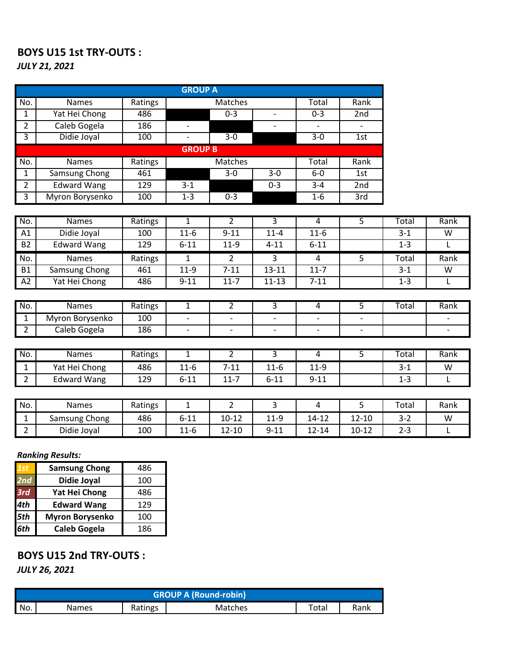#### **BOYS U15 1st TRY-OUTS :** *JULY 21, 2021*

|                |                    |         | <b>GROUP A</b>           |                          |                          |                          |                   |              |      |
|----------------|--------------------|---------|--------------------------|--------------------------|--------------------------|--------------------------|-------------------|--------------|------|
| No.            | <b>Names</b>       | Ratings |                          | <b>Matches</b>           |                          | Total                    | Rank              |              |      |
| $\mathbf{1}$   | Yat Hei Chong      | 486     |                          | $0 - 3$                  |                          | $0 - 3$                  | 2nd               |              |      |
| $\overline{2}$ | Caleb Gogela       | 186     | $\overline{\phantom{m}}$ |                          |                          |                          |                   |              |      |
| $\overline{3}$ | Didie Joyal        | 100     | $\overline{\phantom{a}}$ | $3 - 0$                  |                          | $3-0$                    | 1st               |              |      |
|                |                    |         | <b>GROUP B</b>           |                          |                          |                          |                   |              |      |
| No.            | <b>Names</b>       | Ratings |                          | Matches                  |                          | Total                    | Rank              |              |      |
| $\mathbf{1}$   | Samsung Chong      | 461     |                          | $3 - 0$                  | $3-0$                    | $6-0$                    | 1st               |              |      |
| $\overline{2}$ | <b>Edward Wang</b> | 129     | $3 - 1$                  |                          | $0 - 3$                  | $3 - 4$                  | 2nd               |              |      |
| $\overline{3}$ | Myron Borysenko    | 100     | $1 - 3$                  | $0 - 3$                  |                          | $1-6$                    | $\overline{3}$ rd |              |      |
|                |                    |         |                          |                          |                          |                          |                   |              |      |
| No.            | <b>Names</b>       | Ratings | $\overline{1}$           | $\overline{2}$           | $\overline{3}$           | 4                        | 5                 | Total        | Rank |
| A1             | Didie Joyal        | 100     | $11-6$                   | $9 - 11$                 | $11 - 4$                 | $11-6$                   |                   | $3 - 1$      | W    |
| <b>B2</b>      | Edward Wang        | 129     | $6 - 11$                 | $11-9$                   | $4 - 11$                 | $6 - 11$                 |                   | $1 - 3$      | L    |
| No.            | <b>Names</b>       | Ratings | $\mathbf{1}$             | $\overline{2}$           | $\overline{3}$           | 4                        | 5                 | Total        | Rank |
| <b>B1</b>      | Samsung Chong      | 461     | $11-9$                   | $7 - 11$                 | $13 - 11$                | $11 - 7$                 |                   | $3 - 1$      | W    |
| A2             | Yat Hei Chong      | 486     | $9 - 11$                 | $11 - 7$                 | $11 - 13$                | $7 - 11$                 |                   | $1 - 3$      | L    |
|                |                    |         |                          |                          |                          |                          |                   |              |      |
| No.            | <b>Names</b>       | Ratings | $\overline{1}$           | $\overline{2}$           | $\overline{3}$           | 4                        | $\overline{5}$    | <b>Total</b> | Rank |
| $\overline{1}$ | Myron Borysenko    | 100     |                          | $\overline{\phantom{a}}$ |                          | $\overline{\phantom{a}}$ | $\qquad \qquad -$ |              |      |
| $\overline{2}$ | Caleb Gogela       | 186     | $\overline{\phantom{a}}$ | $\overline{\phantom{a}}$ | $\overline{\phantom{a}}$ | $\overline{\phantom{a}}$ | $\qquad \qquad -$ |              |      |
|                |                    |         |                          |                          |                          |                          |                   |              |      |
| No.            | <b>Names</b>       | Ratings | $\mathbf{1}$             | $\overline{2}$           | $\overline{3}$           | 4                        | $\overline{5}$    | Total        | Rank |
| $\mathbf{1}$   | Yat Hei Chong      | 486     | $11-6$                   | $7 - 11$                 | $11-6$                   | $11-9$                   |                   | $3 - 1$      | W    |

| -      |                    | $\sim$  | -- -     | --       | -- -     | -- -     | - -     | . .               |
|--------|--------------------|---------|----------|----------|----------|----------|---------|-------------------|
| ∽<br>ے | <b>Edward Wang</b> | 129     | $6 - 11$ | $11 - 7$ | $6 - 11$ | $9 - 11$ | $1 - 3$ | <u>. на приве</u> |
|        |                    |         |          |          |          |          |         |                   |
|        |                    |         |          |          |          |          |         |                   |
| No.    | <b>Names</b>       | Ratings | -        | -        |          |          | Total   | Rank              |

2 | Didie Joyal | 100 | 11-6 | 12-10 | 9-11 | 12-14 | 10-12 | 2-3 | L

#### *Ranking Results:*

| 1st | <b>Samsung Chong</b>   | 486 |
|-----|------------------------|-----|
| 2nd | <b>Didie Joyal</b>     | 100 |
| 3rd | Yat Hei Chong          | 486 |
| 4th | <b>Edward Wang</b>     | 129 |
| 5th | <b>Myron Borysenko</b> | 100 |
| 6th | <b>Caleb Gogela</b>    | 186 |

## **BOYS U15 2nd TRY-OUTS :**

*JULY 26, 2021*

|     | <b>GROUP A (Round-robin)</b> |         |         |       |      |  |  |  |
|-----|------------------------------|---------|---------|-------|------|--|--|--|
| No. | Names                        | Ratings | Matches | Total | Rank |  |  |  |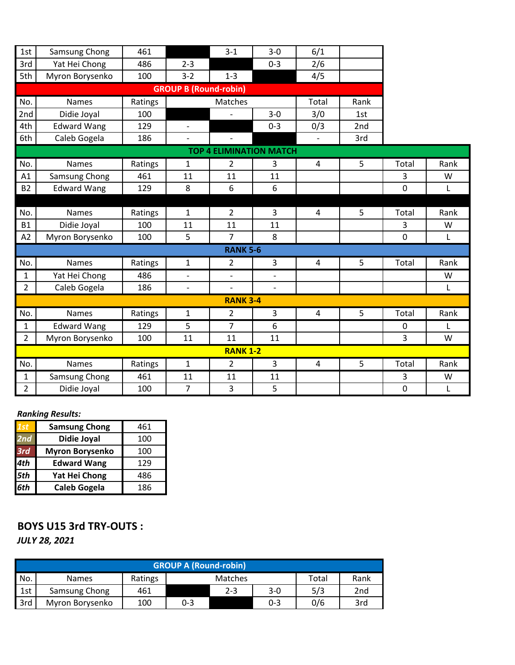| 1st                            | Samsung Chong      | 461     |                              | $3 - 1$         | $3 - 0$                  | 6/1            |      |             |              |
|--------------------------------|--------------------|---------|------------------------------|-----------------|--------------------------|----------------|------|-------------|--------------|
| 3rd                            | Yat Hei Chong      | 486     | $2 - 3$                      |                 | $0 - 3$                  | 2/6            |      |             |              |
| 5th                            | Myron Borysenko    | 100     | $3 - 2$                      | $1 - 3$         |                          | 4/5            |      |             |              |
|                                |                    |         | <b>GROUP B (Round-robin)</b> |                 |                          |                |      |             |              |
| No.                            | <b>Names</b>       | Ratings |                              | Matches         |                          | Total          | Rank |             |              |
| 2nd                            | Didie Joyal        | 100     |                              |                 | $3 - 0$                  | 3/0            | 1st  |             |              |
| 4th                            | <b>Edward Wang</b> | 129     | $\overline{\phantom{0}}$     |                 | $0 - 3$                  | 0/3            | 2nd  |             |              |
| 6th                            | Caleb Gogela       | 186     | $\overline{\phantom{a}}$     |                 |                          |                | 3rd  |             |              |
| <b>TOP 4 ELIMINATION MATCH</b> |                    |         |                              |                 |                          |                |      |             |              |
| No.                            | <b>Names</b>       | Ratings | 1                            | 2               | 3                        | 4              | 5    | Total       | Rank         |
| A1                             | Samsung Chong      | 461     | 11                           | 11              | 11                       |                |      | 3           | W            |
| <b>B2</b>                      | <b>Edward Wang</b> | 129     | 8                            | 6               | 6                        |                |      | $\mathbf 0$ | L            |
|                                |                    |         |                              |                 |                          |                |      |             |              |
| No.                            | <b>Names</b>       | Ratings | 1                            | $\overline{2}$  | 3                        | 4              | 5    | Total       | Rank         |
| <b>B1</b>                      | Didie Joyal        | 100     | 11                           | 11              | 11                       |                |      | 3           | W            |
| A2                             | Myron Borysenko    | 100     | 5                            | $\overline{7}$  | 8                        |                |      | 0           | L            |
|                                |                    |         |                              | <b>RANK 5-6</b> |                          |                |      |             |              |
| No.                            | Names              | Ratings | $\mathbf{1}$                 | 2               | 3                        | $\overline{4}$ | 5    | Total       | Rank         |
| 1                              | Yat Hei Chong      | 486     |                              |                 |                          |                |      |             | W            |
| $\overline{2}$                 | Caleb Gogela       | 186     | $\overline{\phantom{a}}$     | $\overline{a}$  | $\overline{\phantom{0}}$ |                |      |             | $\mathsf{L}$ |
|                                |                    |         |                              | <b>RANK 3-4</b> |                          |                |      |             |              |
| No.                            | <b>Names</b>       | Ratings | $\mathbf{1}$                 | $\overline{2}$  | 3                        | 4              | 5    | Total       | Rank         |
| $\mathbf{1}$                   | <b>Edward Wang</b> | 129     | 5                            | $\overline{7}$  | 6                        |                |      | 0           | L            |
| $\overline{2}$                 | Myron Borysenko    | 100     | 11                           | 11              | 11                       |                |      | 3           | W            |
|                                |                    |         |                              | <b>RANK 1-2</b> |                          |                |      |             |              |
| No.                            | <b>Names</b>       | Ratings | $\mathbf{1}$                 | $\overline{2}$  | 3                        | 4              | 5    | Total       | Rank         |
| 1                              | Samsung Chong      | 461     | 11                           | 11              | 11                       |                |      | 3           | W            |
| $\overline{2}$                 | Didie Joyal        | 100     | $\overline{7}$               | 3               | 5                        |                |      | 0           | L            |

#### *Ranking Results:*

| 1st | <b>Samsung Chong</b>   | 461 |
|-----|------------------------|-----|
| 2nd | Didie Joyal            | 100 |
| 3rd | <b>Myron Borysenko</b> | 100 |
| 4th | <b>Edward Wang</b>     | 129 |
| 5th | Yat Hei Chong          | 486 |
| 6th | <b>Caleb Gogela</b>    | 186 |

### **BOYS U15 3rd TRY-OUTS :** *JULY 28, 2021*

|     | <b>GROUP A (Round-robin)</b> |         |     |                |         |       |      |  |
|-----|------------------------------|---------|-----|----------------|---------|-------|------|--|
| No. | <b>Names</b>                 | Ratings |     | <b>Matches</b> |         | Total | Rank |  |
| 1st | Samsung Chong                | 461     |     | $2 - 3$        | $3-0$   | 5/3   | 2nd  |  |
| 3rd | Myron Borysenko              | 100     | 0-3 |                | $0 - 3$ | 0/6   | 3rd  |  |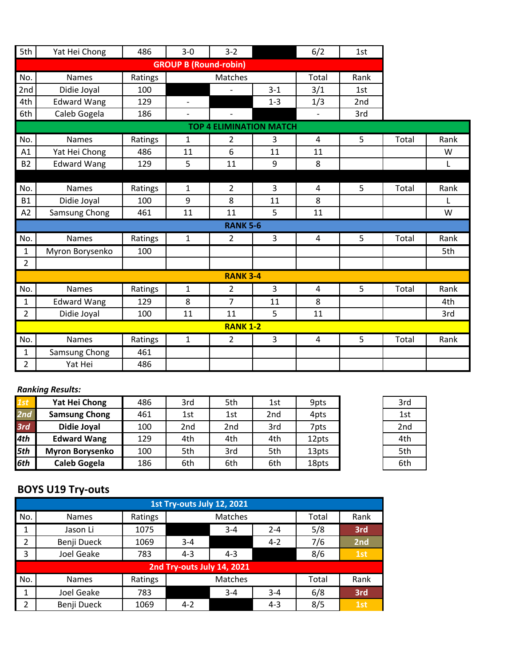| 5th            | Yat Hei Chong      | 486     | $3 - 0$                      | $3 - 2$                  |                                | 6/2            | 1st  |       |      |
|----------------|--------------------|---------|------------------------------|--------------------------|--------------------------------|----------------|------|-------|------|
|                |                    |         | <b>GROUP B (Round-robin)</b> |                          |                                |                |      |       |      |
| No.            | <b>Names</b>       | Ratings |                              | Matches                  |                                | Total          | Rank |       |      |
| 2nd            | Didie Joyal        | 100     |                              |                          | $3 - 1$                        | 3/1            | 1st  |       |      |
| 4th            | <b>Edward Wang</b> | 129     |                              |                          | $1 - 3$                        | 1/3            | 2nd  |       |      |
| 6th            | Caleb Gogela       | 186     | $\overline{\phantom{0}}$     | $\overline{\phantom{a}}$ |                                |                | 3rd  |       |      |
|                |                    |         |                              |                          | <b>TOP 4 ELIMINATION MATCH</b> |                |      |       |      |
| No.            | <b>Names</b>       | Ratings | $\mathbf{1}$                 | $\overline{2}$           | 3                              | $\overline{4}$ | 5    | Total | Rank |
| A1             | Yat Hei Chong      | 486     | 11                           | 6                        | 11                             | 11             |      |       | W    |
| <b>B2</b>      | <b>Edward Wang</b> | 129     | 5                            | 11                       | 9                              | 8              |      |       | L    |
|                |                    |         |                              |                          |                                |                |      |       |      |
| No.            | <b>Names</b>       | Ratings | $\mathbf{1}$                 | $\overline{2}$           | $\overline{3}$                 | $\overline{4}$ | 5    | Total | Rank |
| <b>B1</b>      | Didie Joyal        | 100     | 9                            | 8                        | 11                             | 8              |      |       | L    |
| A2             | Samsung Chong      | 461     | 11                           | 11                       | 5                              | 11             |      |       | W    |
|                |                    |         |                              | <b>RANK 5-6</b>          |                                |                |      |       |      |
| No.            | <b>Names</b>       | Ratings | $\mathbf{1}$                 | 2                        | 3                              | 4              | 5    | Total | Rank |
| $\mathbf{1}$   | Myron Borysenko    | 100     |                              |                          |                                |                |      |       | 5th  |
| $\overline{2}$ |                    |         |                              |                          |                                |                |      |       |      |
|                |                    |         |                              | <b>RANK 3-4</b>          |                                |                |      |       |      |
| No.            | Names              | Ratings | $\mathbf{1}$                 | $\overline{2}$           | $\overline{3}$                 | $\overline{4}$ | 5    | Total | Rank |
| $\mathbf{1}$   | <b>Edward Wang</b> | 129     | 8                            | $\overline{7}$           | 11                             | 8              |      |       | 4th  |
| $\overline{2}$ | Didie Joyal        | 100     | 11                           | 11                       | 5                              | 11             |      |       | 3rd  |
|                |                    |         |                              | <b>RANK 1-2</b>          |                                |                |      |       |      |
| No.            | <b>Names</b>       | Ratings | $\mathbf{1}$                 | $\overline{2}$           | 3                              | 4              | 5    | Total | Rank |
| $\mathbf{1}$   | Samsung Chong      | 461     |                              |                          |                                |                |      |       |      |
| $\overline{2}$ | Yat Hei            | 486     |                              |                          |                                |                |      |       |      |

#### *Ranking Results:*

| 1st | Yat Hei Chong          | 486 | 3rd | 5th | 1st             | 9pts  | 3rd |
|-----|------------------------|-----|-----|-----|-----------------|-------|-----|
| 2nd | <b>Samsung Chong</b>   | 461 | 1st | 1st | 2 <sub>nd</sub> | 4pts  | 1st |
| 3rd | <b>Didie Joyal</b>     | 100 | 2nd | 2nd | 3rd             | 7pts  | 2nd |
| 4th | <b>Edward Wang</b>     | 129 | 4th | 4th | 4th             | 12pts | 4th |
| 5th | <b>Myron Borysenko</b> | 100 | 5th | 3rd | 5th             | 13pts | 5th |
| 6th | <b>Caleb Gogela</b>    | 186 | 6th | 6th | 6th             | 18pts | 6th |

# **BOYS U19 Try-outs**

|                |                   |         | 1st Try-outs July 12, 2021 |         |         |       |      |
|----------------|-------------------|---------|----------------------------|---------|---------|-------|------|
| No.            | <b>Names</b>      | Ratings | Matches                    |         |         | Total | Rank |
| 1              | Jason Li          | 1075    |                            | $3 - 4$ | $2 - 4$ | 5/8   | 3rd  |
| $\overline{2}$ | Benji Dueck       | 1069    | $3 - 4$                    |         | $4 - 2$ | 7/6   | 2nd  |
| 3              | <b>Joel Geake</b> | 783     | $4 - 3$                    | $4 - 3$ |         | 8/6   | 1st  |
|                |                   |         | 2nd Try-outs July 14, 2021 |         |         |       |      |
| No.            | <b>Names</b>      | Ratings |                            | Matches |         | Total | Rank |
| $\mathbf 1$    | <b>Joel Geake</b> | 783     |                            | $3 - 4$ | $3 - 4$ | 6/8   | 3rd  |
| 2              | Benji Dueck       | 1069    | $4 - 2$                    |         | $4 - 3$ | 8/5   | 1st  |